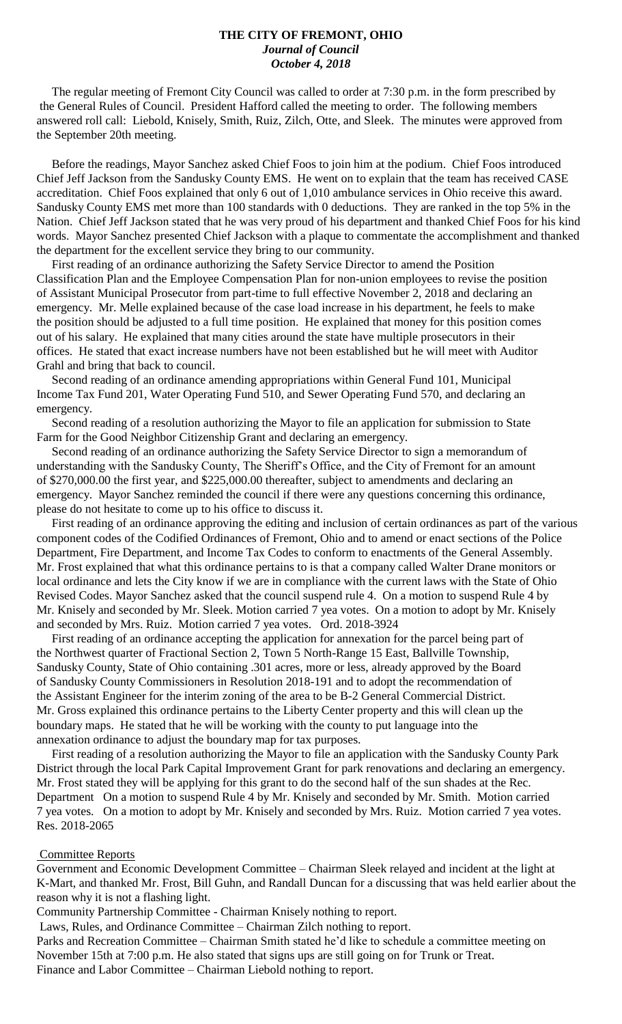#### **THE CITY OF FREMONT, OHIO** *Journal of Council October 4, 2018*

 The regular meeting of Fremont City Council was called to order at 7:30 p.m. in the form prescribed by the General Rules of Council. President Hafford called the meeting to order. The following members answered roll call: Liebold, Knisely, Smith, Ruiz, Zilch, Otte, and Sleek. The minutes were approved from the September 20th meeting.

 Before the readings, Mayor Sanchez asked Chief Foos to join him at the podium. Chief Foos introduced Chief Jeff Jackson from the Sandusky County EMS. He went on to explain that the team has received CASE accreditation. Chief Foos explained that only 6 out of 1,010 ambulance services in Ohio receive this award. Sandusky County EMS met more than 100 standards with 0 deductions. They are ranked in the top 5% in the Nation. Chief Jeff Jackson stated that he was very proud of his department and thanked Chief Foos for his kind words. Mayor Sanchez presented Chief Jackson with a plaque to commentate the accomplishment and thanked the department for the excellent service they bring to our community.

 First reading of an ordinance authorizing the Safety Service Director to amend the Position Classification Plan and the Employee Compensation Plan for non-union employees to revise the position of Assistant Municipal Prosecutor from part-time to full effective November 2, 2018 and declaring an emergency. Mr. Melle explained because of the case load increase in his department, he feels to make the position should be adjusted to a full time position. He explained that money for this position comes out of his salary. He explained that many cities around the state have multiple prosecutors in their offices. He stated that exact increase numbers have not been established but he will meet with Auditor Grahl and bring that back to council.

 Second reading of an ordinance amending appropriations within General Fund 101, Municipal Income Tax Fund 201, Water Operating Fund 510, and Sewer Operating Fund 570, and declaring an emergency.

 Second reading of a resolution authorizing the Mayor to file an application for submission to State Farm for the Good Neighbor Citizenship Grant and declaring an emergency.

 Second reading of an ordinance authorizing the Safety Service Director to sign a memorandum of understanding with the Sandusky County, The Sheriff's Office, and the City of Fremont for an amount of \$270,000.00 the first year, and \$225,000.00 thereafter, subject to amendments and declaring an emergency. Mayor Sanchez reminded the council if there were any questions concerning this ordinance, please do not hesitate to come up to his office to discuss it.

 First reading of an ordinance approving the editing and inclusion of certain ordinances as part of the various component codes of the Codified Ordinances of Fremont, Ohio and to amend or enact sections of the Police Department, Fire Department, and Income Tax Codes to conform to enactments of the General Assembly. Mr. Frost explained that what this ordinance pertains to is that a company called Walter Drane monitors or local ordinance and lets the City know if we are in compliance with the current laws with the State of Ohio Revised Codes. Mayor Sanchez asked that the council suspend rule 4. On a motion to suspend Rule 4 by Mr. Knisely and seconded by Mr. Sleek. Motion carried 7 yea votes. On a motion to adopt by Mr. Knisely and seconded by Mrs. Ruiz. Motion carried 7 yea votes. Ord. 2018-3924

 First reading of an ordinance accepting the application for annexation for the parcel being part of the Northwest quarter of Fractional Section 2, Town 5 North-Range 15 East, Ballville Township, Sandusky County, State of Ohio containing .301 acres, more or less, already approved by the Board of Sandusky County Commissioners in Resolution 2018-191 and to adopt the recommendation of the Assistant Engineer for the interim zoning of the area to be B-2 General Commercial District. Mr. Gross explained this ordinance pertains to the Liberty Center property and this will clean up the boundary maps. He stated that he will be working with the county to put language into the annexation ordinance to adjust the boundary map for tax purposes.

 First reading of a resolution authorizing the Mayor to file an application with the Sandusky County Park District through the local Park Capital Improvement Grant for park renovations and declaring an emergency. Mr. Frost stated they will be applying for this grant to do the second half of the sun shades at the Rec. Department On a motion to suspend Rule 4 by Mr. Knisely and seconded by Mr. Smith. Motion carried 7 yea votes. On a motion to adopt by Mr. Knisely and seconded by Mrs. Ruiz. Motion carried 7 yea votes. Res. 2018-2065

#### Committee Reports

Government and Economic Development Committee – Chairman Sleek relayed and incident at the light at K-Mart, and thanked Mr. Frost, Bill Guhn, and Randall Duncan for a discussing that was held earlier about the reason why it is not a flashing light.

Community Partnership Committee - Chairman Knisely nothing to report.

Laws, Rules, and Ordinance Committee – Chairman Zilch nothing to report.

Parks and Recreation Committee – Chairman Smith stated he'd like to schedule a committee meeting on November 15th at 7:00 p.m. He also stated that signs ups are still going on for Trunk or Treat. Finance and Labor Committee – Chairman Liebold nothing to report.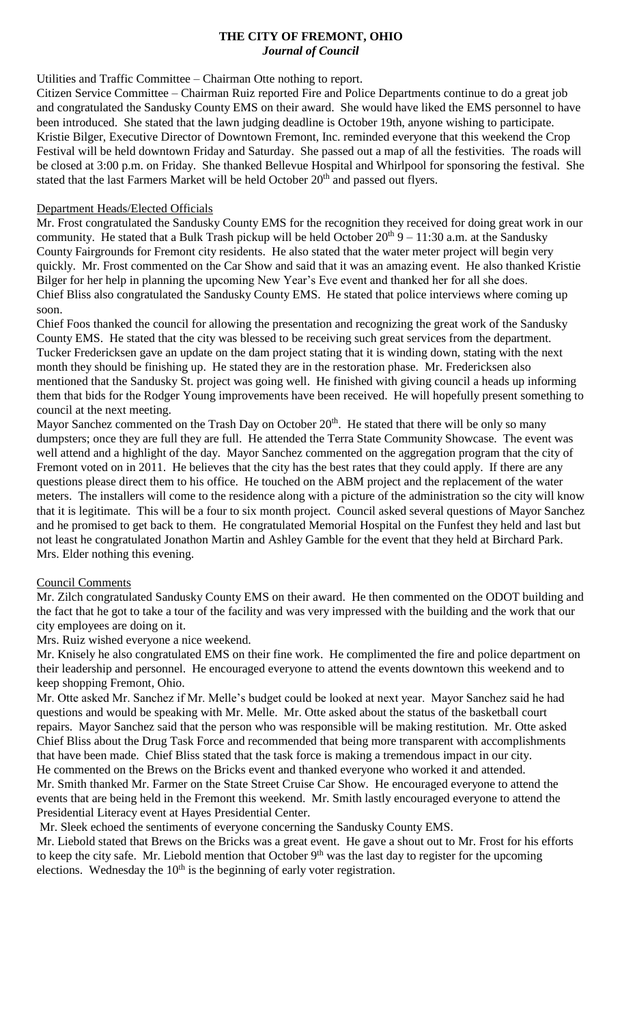# **THE CITY OF FREMONT, OHIO** *Journal of Council*

#### Utilities and Traffic Committee – Chairman Otte nothing to report.

Citizen Service Committee – Chairman Ruiz reported Fire and Police Departments continue to do a great job and congratulated the Sandusky County EMS on their award. She would have liked the EMS personnel to have been introduced. She stated that the lawn judging deadline is October 19th, anyone wishing to participate. Kristie Bilger, Executive Director of Downtown Fremont, Inc. reminded everyone that this weekend the Crop Festival will be held downtown Friday and Saturday. She passed out a map of all the festivities. The roads will be closed at 3:00 p.m. on Friday. She thanked Bellevue Hospital and Whirlpool for sponsoring the festival. She stated that the last Farmers Market will be held October 20<sup>th</sup> and passed out flyers.

# Department Heads/Elected Officials

Mr. Frost congratulated the Sandusky County EMS for the recognition they received for doing great work in our community. He stated that a Bulk Trash pickup will be held October  $20^{th}$  9 – 11:30 a.m. at the Sandusky County Fairgrounds for Fremont city residents. He also stated that the water meter project will begin very quickly. Mr. Frost commented on the Car Show and said that it was an amazing event. He also thanked Kristie Bilger for her help in planning the upcoming New Year's Eve event and thanked her for all she does. Chief Bliss also congratulated the Sandusky County EMS. He stated that police interviews where coming up soon.

Chief Foos thanked the council for allowing the presentation and recognizing the great work of the Sandusky County EMS. He stated that the city was blessed to be receiving such great services from the department. Tucker Fredericksen gave an update on the dam project stating that it is winding down, stating with the next month they should be finishing up. He stated they are in the restoration phase. Mr. Fredericksen also mentioned that the Sandusky St. project was going well. He finished with giving council a heads up informing them that bids for the Rodger Young improvements have been received. He will hopefully present something to council at the next meeting.

Mayor Sanchez commented on the Trash Day on October  $20<sup>th</sup>$ . He stated that there will be only so many dumpsters; once they are full they are full. He attended the Terra State Community Showcase. The event was well attend and a highlight of the day. Mayor Sanchez commented on the aggregation program that the city of Fremont voted on in 2011. He believes that the city has the best rates that they could apply. If there are any questions please direct them to his office. He touched on the ABM project and the replacement of the water meters. The installers will come to the residence along with a picture of the administration so the city will know that it is legitimate. This will be a four to six month project. Council asked several questions of Mayor Sanchez and he promised to get back to them. He congratulated Memorial Hospital on the Funfest they held and last but not least he congratulated Jonathon Martin and Ashley Gamble for the event that they held at Birchard Park. Mrs. Elder nothing this evening.

# Council Comments

Mr. Zilch congratulated Sandusky County EMS on their award. He then commented on the ODOT building and the fact that he got to take a tour of the facility and was very impressed with the building and the work that our city employees are doing on it.

Mrs. Ruiz wished everyone a nice weekend.

Mr. Knisely he also congratulated EMS on their fine work. He complimented the fire and police department on their leadership and personnel. He encouraged everyone to attend the events downtown this weekend and to keep shopping Fremont, Ohio.

Mr. Otte asked Mr. Sanchez if Mr. Melle's budget could be looked at next year. Mayor Sanchez said he had questions and would be speaking with Mr. Melle. Mr. Otte asked about the status of the basketball court repairs. Mayor Sanchez said that the person who was responsible will be making restitution. Mr. Otte asked Chief Bliss about the Drug Task Force and recommended that being more transparent with accomplishments that have been made. Chief Bliss stated that the task force is making a tremendous impact in our city. He commented on the Brews on the Bricks event and thanked everyone who worked it and attended. Mr. Smith thanked Mr. Farmer on the State Street Cruise Car Show. He encouraged everyone to attend the

events that are being held in the Fremont this weekend. Mr. Smith lastly encouraged everyone to attend the Presidential Literacy event at Hayes Presidential Center.

Mr. Sleek echoed the sentiments of everyone concerning the Sandusky County EMS.

Mr. Liebold stated that Brews on the Bricks was a great event. He gave a shout out to Mr. Frost for his efforts to keep the city safe. Mr. Liebold mention that October  $9<sup>th</sup>$  was the last day to register for the upcoming elections. Wednesday the  $10<sup>th</sup>$  is the beginning of early voter registration.